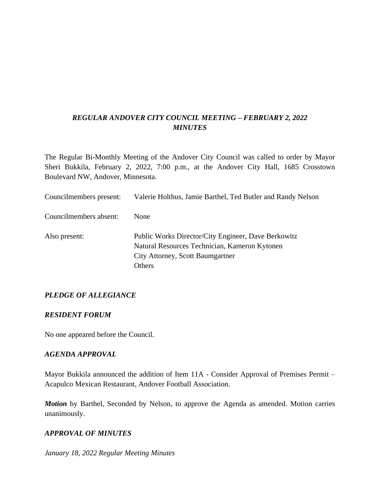## *REGULAR ANDOVER CITY COUNCIL MEETING – FEBRUARY 2, 2022 MINUTES*

The Regular Bi-Monthly Meeting of the Andover City Council was called to order by Mayor Sheri Bukkila, February 2, 2022, 7:00 p.m., at the Andover City Hall, 1685 Crosstown Boulevard NW, Andover, Minnesota.

| Councilmembers present: | Valerie Holthus, Jamie Barthel, Ted Butler and Randy Nelson                                                                                        |
|-------------------------|----------------------------------------------------------------------------------------------------------------------------------------------------|
| Councilmembers absent:  | <b>None</b>                                                                                                                                        |
| Also present:           | Public Works Director/City Engineer, Dave Berkowitz<br>Natural Resources Technician, Kameron Kytonen<br>City Attorney, Scott Baumgartner<br>Others |

### *PLEDGE OF ALLEGIANCE*

#### *RESIDENT FORUM*

No one appeared before the Council.

#### *AGENDA APPROVAL*

Mayor Bukkila announced the addition of Item 11A - Consider Approval of Premises Permit – Acapulco Mexican Restaurant, Andover Football Association.

*Motion* by Barthel, Seconded by Nelson, to approve the Agenda as amended. Motion carries unanimously.

#### *APPROVAL OF MINUTES*

*January 18, 2022 Regular Meeting Minutes*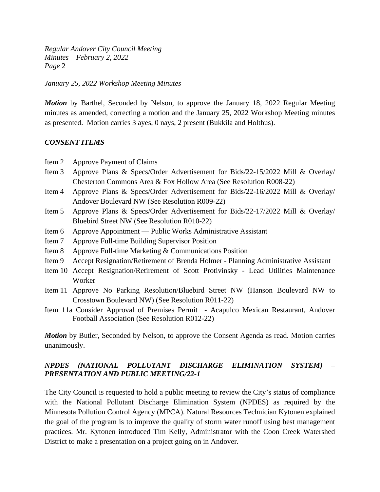*January 25, 2022 Workshop Meeting Minutes*

*Motion* by Barthel, Seconded by Nelson, to approve the January 18, 2022 Regular Meeting minutes as amended, correcting a motion and the January 25, 2022 Workshop Meeting minutes as presented. Motion carries 3 ayes, 0 nays, 2 present (Bukkila and Holthus).

### *CONSENT ITEMS*

- Item 2 Approve Payment of Claims
- Item 3 Approve Plans & Specs/Order Advertisement for Bids/22-15/2022 Mill & Overlay/ Chesterton Commons Area & Fox Hollow Area (See Resolution R008-22)
- Item 4 Approve Plans & Specs/Order Advertisement for Bids/22-16/2022 Mill & Overlay/ Andover Boulevard NW (See Resolution R009-22)
- Item 5 Approve Plans & Specs/Order Advertisement for Bids/22-17/2022 Mill & Overlay/ Bluebird Street NW (See Resolution R010-22)
- Item 6 Approve Appointment Public Works Administrative Assistant
- Item 7 Approve Full-time Building Supervisor Position
- Item 8 Approve Full-time Marketing & Communications Position
- Item 9 Accept Resignation/Retirement of Brenda Holmer Planning Administrative Assistant
- Item 10 Accept Resignation/Retirement of Scott Protivinsky Lead Utilities Maintenance Worker
- Item 11 Approve No Parking Resolution/Bluebird Street NW (Hanson Boulevard NW to Crosstown Boulevard NW) (See Resolution R011-22)
- Item 11a Consider Approval of Premises Permit Acapulco Mexican Restaurant, Andover Football Association (See Resolution R012-22)

*Motion* by Butler, Seconded by Nelson, to approve the Consent Agenda as read. Motion carries unanimously.

### *NPDES (NATIONAL POLLUTANT DISCHARGE ELIMINATION SYSTEM) – PRESENTATION AND PUBLIC MEETING/22-1*

The City Council is requested to hold a public meeting to review the City's status of compliance with the National Pollutant Discharge Elimination System (NPDES) as required by the Minnesota Pollution Control Agency (MPCA). Natural Resources Technician Kytonen explained the goal of the program is to improve the quality of storm water runoff using best management practices. Mr. Kytonen introduced Tim Kelly, Administrator with the Coon Creek Watershed District to make a presentation on a project going on in Andover.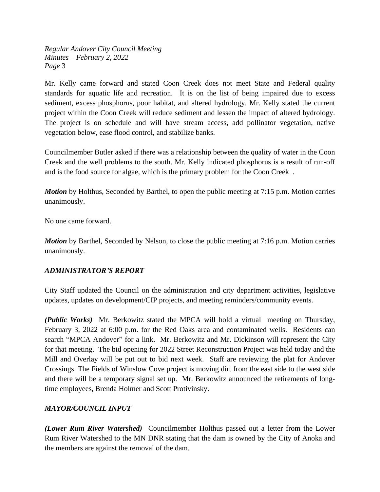Mr. Kelly came forward and stated Coon Creek does not meet State and Federal quality standards for aquatic life and recreation. It is on the list of being impaired due to excess sediment, excess phosphorus, poor habitat, and altered hydrology. Mr. Kelly stated the current project within the Coon Creek will reduce sediment and lessen the impact of altered hydrology. The project is on schedule and will have stream access, add pollinator vegetation, native vegetation below, ease flood control, and stabilize banks.

Councilmember Butler asked if there was a relationship between the quality of water in the Coon Creek and the well problems to the south. Mr. Kelly indicated phosphorus is a result of run-off and is the food source for algae, which is the primary problem for the Coon Creek .

*Motion* by Holthus, Seconded by Barthel, to open the public meeting at 7:15 p.m. Motion carries unanimously.

No one came forward.

*Motion* by Barthel, Seconded by Nelson, to close the public meeting at 7:16 p.m. Motion carries unanimously.

### *ADMINISTRATOR'S REPORT*

City Staff updated the Council on the administration and city department activities, legislative updates, updates on development/CIP projects, and meeting reminders/community events.

*(Public Works)* Mr. Berkowitz stated the MPCA will hold a virtual meeting on Thursday, February 3, 2022 at 6:00 p.m. for the Red Oaks area and contaminated wells. Residents can search "MPCA Andover" for a link. Mr. Berkowitz and Mr. Dickinson will represent the City for that meeting. The bid opening for 2022 Street Reconstruction Project was held today and the Mill and Overlay will be put out to bid next week. Staff are reviewing the plat for Andover Crossings. The Fields of Winslow Cove project is moving dirt from the east side to the west side and there will be a temporary signal set up. Mr. Berkowitz announced the retirements of longtime employees, Brenda Holmer and Scott Protivinsky.

## *MAYOR/COUNCIL INPUT*

*(Lower Rum River Watershed)* Councilmember Holthus passed out a letter from the Lower Rum River Watershed to the MN DNR stating that the dam is owned by the City of Anoka and the members are against the removal of the dam.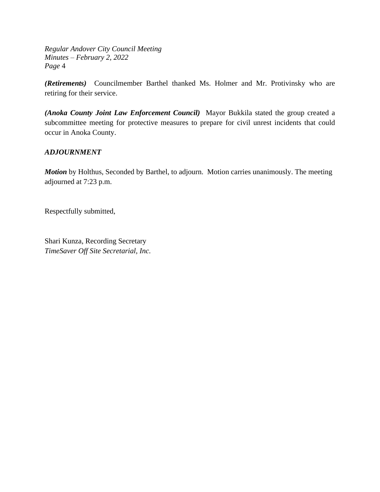*(Retirements)* Councilmember Barthel thanked Ms. Holmer and Mr. Protivinsky who are retiring for their service.

*(Anoka County Joint Law Enforcement Council)* Mayor Bukkila stated the group created a subcommittee meeting for protective measures to prepare for civil unrest incidents that could occur in Anoka County.

### *ADJOURNMENT*

*Motion* by Holthus, Seconded by Barthel, to adjourn. Motion carries unanimously. The meeting adjourned at 7:23 p.m.

Respectfully submitted,

Shari Kunza, Recording Secretary *TimeSaver Off Site Secretarial, Inc.*